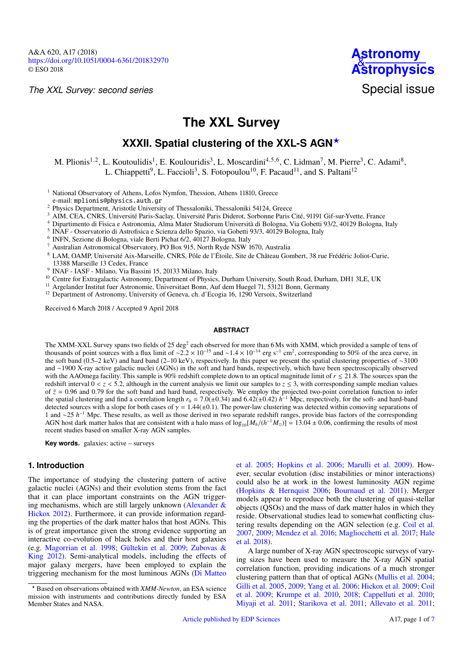*The XXL Survey: second series*



# **The XXL Survey**

## **XXXII. Spatial clustering of the XXL-S AGN**?

M. Plionis<sup>[1](#page-0-0)[,2](#page-0-1)</sup>, L. Koutoulidis<sup>1</sup>, E. Koulouridis<sup>[3](#page-0-2)</sup>, L. Moscardini<sup>[4,](#page-0-3)[5](#page-0-4)[,6](#page-0-5)</sup>, C. Lidman<sup>[7](#page-0-6)</sup>, M. Pierre<sup>3</sup>, C. Adami<sup>[8](#page-0-7)</sup>, L. Chiappetti<sup>[9](#page-0-8)</sup>, L. Faccioli<sup>[3](#page-0-2)</sup>, S. Fotopoulou<sup>[10](#page-0-9)</sup>, F. Pacaud<sup>[11](#page-0-10)</sup>, and S. Paltani<sup>[12](#page-0-11)</sup>

<span id="page-0-0"></span><sup>1</sup> National Observatory of Athens, Lofos Nymfon, Thession, Athens 11810, Greece e-mail: [mplionis@physics.auth.gr](mailto:mplionis@physics.auth.gr)

<span id="page-0-1"></span><sup>2</sup> Physics Department, Aristotle University of Thessaloniki, Thessaloniki 54124, Greece

<span id="page-0-2"></span><sup>3</sup> AIM, CEA, CNRS, Université Paris-Saclay, Université Paris Diderot, Sorbonne Paris Cité, 91191 Gif-sur-Yvette, France

<span id="page-0-3"></span><sup>4</sup> Dipartimento di Fisica e Astronomia, Alma Mater Studiorum Università di Bologna, Via Gobetti 93/2, 40129 Bologna, Italy

<span id="page-0-4"></span><sup>5</sup> INAF - Osservatorio di Astrofisica e Scienza dello Spazio, via Gobetti 93/3, 40129 Bologna, Italy

<span id="page-0-5"></span>6 INFN, Sezione di Bologna, viale Berti Pichat 6/2, 40127 Bologna, Italy

<span id="page-0-6"></span><sup>7</sup> Australian Astronomical Observatory, PO Box 915, North Ryde NSW 1670, Australia

<span id="page-0-7"></span><sup>8</sup> LAM, OAMP, Université Aix-Marseille, CNRS, Pôle de l'Étoile, Site de Chãteau Gombert, 38 rue Frédéric Joliot-Curie,

13388 Marseille 13 Cedex, France

<span id="page-0-8"></span>9 INAF - IASF - Milano, Via Bassini 15, 20133 Milano, Italy

<span id="page-0-9"></span><sup>10</sup> Centre for Extragalactic Astronomy, Department of Physics, Durham University, South Road, Durham, DH1 3LE, UK

<span id="page-0-10"></span><sup>11</sup> Argelander Institut fuer Astronomie, Universitaet Bonn, Auf dem Huegel 71, 53121 Bonn, Germany

<span id="page-0-11"></span><sup>12</sup> Department of Astronomy, University of Geneva, ch. d'Ecogia 16, 1290 Versoix, Switzerland

Received 6 March 2018 / Accepted 9 April 2018

## **ABSTRACT**

The XMM-XXL Survey spans two fields of 25 deg<sup>2</sup> each observed for more than 6 Ms with XMM, which provided a sample of tens of thousands of point sources with a flux limit of ~2.2 × 10<sup>-15</sup> and ~1.4 × 10<sup>-14</sup> erg s<sup>-1</sup> cm<sup>2</sup>, corresponding to 50% of the area curve, in<br>the soft band (0.5–2 keV) and bard band (2–10 keV) respectively. In this paper the soft band (0.5–2 keV) and hard band (2–10 keV), respectively. In this paper we present the spatial clustering properties of ∼3100 and ∼1900 X-ray active galactic nuclei (AGNs) in the soft and hard bands, respectively, which have been spectroscopically observed with the AAOmega facility. This sample is 90% redshift complete down to an optical magnitude limit of  $r \le 21.8$ . The sources span the redshift interval  $0 < z < 5.2$ , although in the current analysis we limit our samples to  $z \le 3$ , with corresponding sample median values of  $\bar{z} \approx 0.96$  and 0.79 for the soft band and hard band, respectively. We employ the projected two-point correlation function to infer the spatial clustering and find a correlation length  $r_0 = 7.0(\pm 0.34)$  and  $6.42(\pm 0.42)$  *h* detected sources with a slope for both cases of  $\gamma = 1.44(\pm 0.1)$ . The power-law cluster the spatial clustering and find a correlation length  $r_0 = 7.0(\pm 0.34)$  and  $6.42(\pm 0.42)$   $h^{-1}$  Mpc, respectively, for the soft- and hard-band detected sources with a slope for both cases of  $\gamma = 1.44(\pm 0.1)$ . The power-law clustering was detected within comoving separations of the corresponding that  $\gamma$  and  $\gamma$  and  $\gamma$  and  $\gamma$  and  $\gamma$  and  $\gamma$  and  $\gamma$  and 1 and ∼25 *h*<sup>-1</sup> Mpc. These results, as well as those derived in two separate redshift ranges, provide bias factors of the corresponding AGN host dark matter halos that are consistent with a halo mass of  $\log_{10}[M_h/(h^{-1}M_\odot)] = 13.04 \pm 0.06$ , confirming the results of most recent studies based on smaller X-ray AGN samples recent studies based on smaller X-ray AGN samples.

**Key words.** galaxies: active – surveys

## **1. Introduction**

The importance of studying the clustering pattern of active galactic nuclei (AGNs) and their evolution stems from the fact that it can place important constraints on the AGN triggering mechanisms, which are still largely unknown [\(Alexander &](#page-6-0) [Hickox](#page-6-0) [2012\)](#page-6-0). Furthermore, it can provide information regarding the properties of the dark matter halos that host AGNs. This is of great importance given the strong evidence supporting an interactive co-evolution of black holes and their host galaxies (e.g. [Magorrian et al.](#page-6-1) [1998;](#page-6-1) [Gültekin et al.](#page-6-2) [2009;](#page-6-2) [Zubovas &](#page-6-3) [King](#page-6-3) [2012\)](#page-6-3). Semi-analytical models, including the effects of major galaxy mergers, have been employed to explain the triggering mechanism for the most luminous AGNs [\(Di Matteo](#page-6-4)

[et al.](#page-6-4) [2005;](#page-6-4) [Hopkins et al.](#page-6-5) [2006;](#page-6-5) [Marulli et al.](#page-6-6) [2009\)](#page-6-6). However, secular evolution (disc instabilities or minor interactions) could also be at work in the lowest luminosity AGN regime [\(Hopkins & Hernquist](#page-6-7) [2006;](#page-6-7) [Bournaud et al.](#page-6-8) [2011\)](#page-6-8). Merger models appear to reproduce both the clustering of quasi-stellar objects (QSOs) and the mass of dark matter halos in which they reside. Observational studies lead to somewhat conflicting clustering results depending on the AGN selection (e.g. [Coil et al.](#page-6-9) [2007,](#page-6-9) [2009;](#page-6-10) [Mendez et al.](#page-6-11) [2016;](#page-6-11) [Magliocchetti et al.](#page-6-12) [2017;](#page-6-12) [Hale](#page-6-13) [et al.](#page-6-13) [2018\)](#page-6-13).

A large number of X-ray AGN spectroscopic surveys of varying sizes have been used to measure the X-ray AGN spatial correlation function, providing indications of a much stronger clustering pattern than that of optical AGNs [\(Mullis et al.](#page-6-14) [2004;](#page-6-14) [Gilli et al.](#page-6-15) [2005,](#page-6-15) [2009;](#page-6-16) [Yang et al.](#page-6-17) [2006;](#page-6-17) [Hickox et al.](#page-6-18) [2009;](#page-6-18) [Coil](#page-6-10) [et al.](#page-6-10) [2009;](#page-6-10) [Krumpe et al.](#page-6-19) [2010,](#page-6-19) [2018;](#page-6-20) [Cappelluti et al.](#page-6-21) [2010;](#page-6-21) [Miyaji et al.](#page-6-22) [2011;](#page-6-22) [Starikova et al.](#page-6-23) [2011;](#page-6-23) [Allevato et al.](#page-6-24) [2011;](#page-6-24)

<sup>?</sup> [Based on observations obtained with](#page-6-4) *XMM-Newton*, an ESA science [mission with instruments and contributions directly funded by ESA](#page-6-4) [Member States and NASA.](#page-6-4)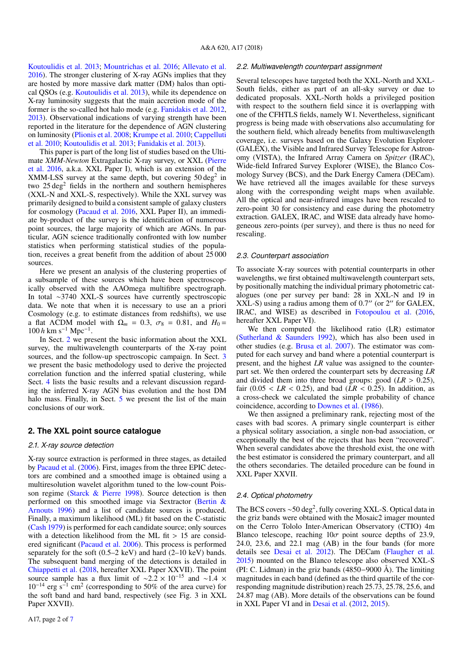[Koutoulidis et al.](#page-6-26) [2013;](#page-6-26) [Mountrichas et al.](#page-6-27) [2016;](#page-6-27) [Allevato et al.](#page-6-28) [2016\)](#page-6-28). The stronger clustering of X-ray AGNs implies that they are hosted by more massive dark matter (DM) halos than optical QSOs (e.g. [Koutoulidis et al.](#page-6-26) [2013\)](#page-6-26), while its dependence on X-ray luminosity suggests that the main accretion mode of the former is the so-called hot halo mode (e.g. [Fanidakis et al.](#page-6-29) [2012,](#page-6-29) [2013\)](#page-6-30). Observational indications of varying strength have been reported in the literature for the dependence of AGN clustering on luminosity [\(Plionis et al.](#page-6-31) [2008;](#page-6-31) [Krumpe et al.](#page-6-19) [2010;](#page-6-19) [Cappelluti](#page-6-21) [et al.](#page-6-21) [2010;](#page-6-21) [Koutoulidis et al.](#page-6-26) [2013;](#page-6-26) [Fanidakis et al.](#page-6-30) [2013\)](#page-6-30).

This paper is part of the long list of studies based on the Ultimate *XMM-Newton* Extragalactic X-ray survey, or XXL [\(Pierre](#page-6-32) [et al.](#page-6-32) [2016,](#page-6-32) a.k.a. XXL Paper I), which is an extension of the XMM-LSS survey at the same depth, but covering  $50 \text{ deg}^2$  in two 25 deg<sup>2</sup> fields in the northern and southern hemispheres (XXL-N and XXL-S, respectively). While the XXL survey was primarily designed to build a consistent sample of galaxy clusters for cosmology [\(Pacaud et al.](#page-6-33) [2016,](#page-6-33) XXL Paper II), an immediate by-product of the survey is the identification of numerous point sources, the large majority of which are AGNs. In particular, AGN science traditionally confronted with low number statistics when performing statistical studies of the population, receives a great benefit from the addition of about 25 000 sources.

Here we present an analysis of the clustering properties of a subsample of these sources which have been spectroscopically observed with the AAOmega multifibre spectrograph. In total ∼3740 XXL-S sources have currently spectroscopic data. We note that when it is necessary to use an a priori Cosmology (e.g. to estimate distances from redshifts), we use a flat  $\Lambda$ CDM model with  $\Omega_m = 0.3$ ,  $\sigma_8 = 0.81$ , and  $H_0 = 100 h \text{ km s}^{-1} \text{ Mpc}^{-1}$ .

In Sect. [2](#page-1-0) we present the basic information about the XXL survey, the multiwavelength counterparts of the X-ray point sources, and the follow-up spectroscopic campaign. In Sect. [3](#page-2-0) we present the basic methodology used to derive the projected correlation function and the inferred spatial clustering, while Sect. [4](#page-3-0) lists the basic results and a relevant discussion regarding the inferred X-ray AGN bias evolution and the host DM halo mass. Finally, in Sect. [5](#page-6-34) we present the list of the main conclusions of our work.

## <span id="page-1-0"></span>**2. The XXL point source catalogue**

#### *2.1. X-ray source detection*

X-ray source extraction is performed in three stages, as detailed by [Pacaud et al.](#page-6-35) [\(2006\)](#page-6-35). First, images from the three EPIC detectors are combined and a smoothed image is obtained using a multiresolution wavelet algorithm tuned to the low-count Poisson regime [\(Starck & Pierre](#page-6-36) [1998\)](#page-6-36). Source detection is then performed on this smoothed image via Sextractor [\(Bertin &](#page-6-37) [Arnouts](#page-6-37) [1996\)](#page-6-37) and a list of candidate sources is produced. Finally, a maximum likelihood (ML) fit based on the C-statistic [\(Cash](#page-6-38) [1979\)](#page-6-38) is performed for each candidate source; only sources with a detection likelihood from the ML fit  $> 15$  are considered significant [\(Pacaud et al.](#page-6-35) [2006\)](#page-6-35). This process is performed separately for the soft (0.5–2 keV) and hard (2–10 keV) bands. The subsequent band merging of the detections is detailed in [Chiappetti et al.](#page-6-39) [\(2018,](#page-6-39) hereafter XXL Paper XXVII). The point source sample has a flux limit of  $\sim 2.2 \times 10^{-15}$  and  $\sim 1.4 \times$  $10^{-14}$  erg s<sup>-1</sup> cm<sup>2</sup> (corresponding to 50% of the area curve) for the soft band and hard band, respectively (see Fig. 3 in XXL Paper XXVII).

#### *2.2. Multiwavelength counterpart assignment*

Several telescopes have targeted both the XXL-North and XXL-South fields, either as part of an all-sky survey or due to dedicated proposals. XXL-North holds a privileged position with respect to the southern field since it is overlapping with one of the CFHTLS fields, namely W1. Nevertheless, significant progress is being made with observations also accumulating for the southern field, which already benefits from multiwavelength coverage, i.e. surveys based on the Galaxy Evolution Explorer (GALEX), the Visible and Infrared Survey Telescope for Astronomy (VISTA), the Infrared Array Camera on *Spitzer* (IRAC), Wide-field Infrared Survey Explorer (WISE), the Blanco Cosmology Survey (BCS), and the Dark Energy Camera (DECam). We have retrieved all the images available for these surveys along with the corresponding weight maps when available. All the optical and near-infrared images have been rescaled to zero-point 30 for consistency and ease during the photometry extraction. GALEX, IRAC, and WISE data already have homogeneous zero-points (per survey), and there is thus no need for rescaling.

#### *2.3. Counterpart association*

To associate X-ray sources with potential counterparts in other wavelengths, we first obtained multiwavelength counterpart sets, by positionally matching the individual primary photometric catalogues (one per survey per band: 28 in XXL-N and 19 in  $XXL-S$ ) using a radius among them of 0.7" (or 2" for GALEX, IRAC, and WISE) as described in [Fotopoulou et al.](#page-6-40) [\(2016,](#page-6-40) hereafter XXL Paper VI).

We then computed the likelihood ratio (LR) estimator [\(Sutherland & Saunders](#page-6-41) [1992\)](#page-6-41), which has also been used in other studies (e.g. [Brusa et al.](#page-6-42) [2007\)](#page-6-42). The estimator was computed for each survey and band where a potential counterpart is present, and the highest *LR* value was assigned to the counterpart set. We then ordered the counterpart sets by decreasing *LR* and divided them into three broad groups: good  $(LR > 0.25)$ , fair  $(0.05 < LR < 0.25)$ , and bad  $(LR < 0.25)$ . In addition, as a cross-check we calculated the simple probability of chance coincidence, according to [Downes et al.](#page-6-43) [\(1986\)](#page-6-43).

We then assigned a preliminary rank, rejecting most of the cases with bad scores. A primary single counterpart is either a physical solitary association, a single non-bad association, or exceptionally the best of the rejects that has been "recovered". When several candidates above the threshold exist, the one with the best estimator is considered the primary counterpart, and all the others secondaries. The detailed procedure can be found in XXL Paper XXVII.

#### *2.4. Optical photometry*

The BCS covers ~50 deg<sup>2</sup>, fully covering XXL-S. Optical data in the griz bands were obtained with the Mosaic2 imager mounted on the Cerro Tololo Inter-American Observatory (CTIO) 4m Blanco telescope, reaching  $10\sigma$  point source depths of 23.9, 24.0, 23.6, and 22.1 mag (AB) in the four bands (for more details see [Desai et al.](#page-6-44) [2012\)](#page-6-44). The DECam [\(Flaugher et al.](#page-6-45) [2015\)](#page-6-45) mounted on the Blanco telescope also observed XXL-S (PI: C. Lidman) in the griz bands (4850−9000 Å). The limiting magnitudes in each band (defined as the third quartile of the corresponding magnitude distribution) reach 25.73, 25.78, 25.6, and 24.87 mag (AB). More details of the observations can be found in XXL Paper VI and in [Desai et al.](#page-6-44) [\(2012,](#page-6-44) [2015\)](#page-6-46).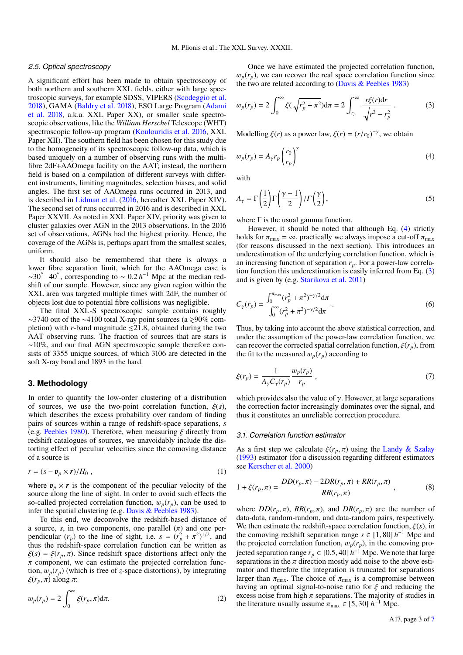#### *2.5. Optical spectroscopy*

A significant effort has been made to obtain spectroscopy of both northern and southern XXL fields, either with large spectroscopic surveys, for example SDSS, VIPERS [\(Scodeggio et al.](#page-6-47) [2018\)](#page-6-47), GAMA [\(Baldry et al.](#page-6-48) [2018\)](#page-6-48), ESO Large Program [\(Adami](#page-6-49) [et al.](#page-6-49) [2018,](#page-6-49) a.k.a. XXL Paper XX), or smaller scale spectroscopic observations, like the *William Herschel* Telescope (WHT) spectroscopic follow-up program [\(Koulouridis et al.](#page-6-50) [2016,](#page-6-50) XXL Paper XII). The southern field has been chosen for this study due to the homogeneity of its spectroscopic follow-up data, which is based uniquely on a number of observing runs with the multifibre 2dF+AAOmega facility on the AAT; instead, the northern field is based on a compilation of different surveys with different instruments, limiting magnitudes, selection biases, and solid angles. The first set of AAOmega runs occurred in 2013, and is described in [Lidman et al.](#page-6-51) [\(2016,](#page-6-51) hereafter XXL Paper XIV). The second set of runs occurred in 2016 and is described in XXL Paper XXVII. As noted in XXL Paper XIV, priority was given to cluster galaxies over AGN in the 2013 observations. In the 2016 set of observations, AGNs had the highest priority. Hence, the coverage of the AGNs is, perhaps apart from the smallest scales, uniform.

It should also be remembered that there is always a lower fibre separation limit, which for the AAOmega case is  $\sim 30^{\circ}$  –40<sup>"</sup>, corresponding to  $\sim 0.2 h^{-1}$  Mpc at the median red-<br>shift of our sample. However, since any given region within the shift of our sample. However, since any given region within the XXL area was targeted multiple times with 2dF, the number of objects lost due to potential fibre collisions was negligible.

The final XXL-S spectroscopic sample contains roughly  $\sim$ 3740 out of the  $\sim$ 4100 total X-ray point sources (a  $\gtrsim$ 90% completion) with *r*-band magnitude  $\leq 21.8$ , obtained during the two AAT observing runs. The fraction of sources that are stars is ∼10%, and our final AGN spectroscopic sample therefore consists of 3355 unique sources, of which 3106 are detected in the soft X-ray band and 1893 in the hard.

## <span id="page-2-0"></span>**3. Methodology**

In order to quantify the low-order clustering of a distribution of sources, we use the two-point correlation function,  $\xi(s)$ , which describes the excess probability over random of finding pairs of sources within a range of redshift-space separations, *s* (e.g. [Peebles](#page-6-52) [1980\)](#page-6-52). Therefore, when measuring  $\xi$  directly from redshift catalogues of sources, we unavoidably include the distorting effect of peculiar velocities since the comoving distance of a source is

$$
r = (s - v_p \times r) / H_0 , \qquad (1)
$$

where  $v_p \times r$  is the component of the peculiar velocity of the source along the line of sight. In order to avoid such effects the so-called projected correlation function,  $w_p(r_p)$ , can be used to infer the spatial clustering (e.g. [Davis & Peebles](#page-6-53) [1983\)](#page-6-53).

To this end, we deconvolve the redshift-based distance of a source, *s*, in two components, one parallel ( $\pi$ ) and one per-<br>pendicular ( $r_p$ ) to the line of sight, i.e.  $s = (r_p^2 + \pi^2)^{1/2}$ , and<br>thus the redshift-space correlation function can be written as thus the redshift-space correlation function can be written as  $\xi(s) = \xi(r_p, \pi)$ . Since redshift space distortions affect only the  $\pi$  component, we can estimate the projected correlation function,  $w_p(r_p)$  (which is free of *z*-space distortions), by integrating ξ $(r_p, π)$  along π:

$$
w_p(r_p) = 2 \int_0^\infty \xi(r_p, \pi) d\pi.
$$
 (2)

Once we have estimated the projected correlation function,  $w_p(r_p)$ , we can recover the real space correlation function since the two are related according to [\(Davis & Peebles](#page-6-53) [1983\)](#page-6-53)

<span id="page-2-2"></span>
$$
w_p(r_p) = 2 \int_0^{\infty} \xi(\sqrt{r_p^2 + \pi^2}) d\pi = 2 \int_{r_p}^{\infty} \frac{r\xi(r) dr}{\sqrt{r^2 - r_p^2}}.
$$
 (3)

<span id="page-2-1"></span>Modelling  $\xi(r)$  as a power law,  $\xi(r) = (r/r_0)^{-\gamma}$ , we obtain

$$
w_p(r_p) = A_{\gamma} r_p \left(\frac{r_0}{r_p}\right)^{\gamma}
$$
\n(4)

with

$$
A_{\gamma} = \Gamma\left(\frac{1}{2}\right)\Gamma\left(\frac{\gamma - 1}{2}\right) / \Gamma\left(\frac{\gamma}{2}\right),\tag{5}
$$

where  $\Gamma$  is the usual gamma function.

However, it should be noted that although Eq. [\(4\)](#page-2-1) strictly holds for  $\pi_{\text{max}} = \infty$ , practically we always impose a cut-off  $\pi_{\text{max}}$ (for reasons discussed in the next section). This introduces an underestimation of the underlying correlation function, which is an increasing function of separation *rp*. For a power-law correlation function this underestimation is easily inferred from Eq. [\(3\)](#page-2-2) and is given by (e.g. [Starikova et al.](#page-6-23) [2011\)](#page-6-23)

$$
C_{\gamma}(r_p) = \frac{\int_0^{\pi_{\text{max}}} (r_p^2 + \pi^2)^{-\gamma/2} d\pi}{\int_0^{\infty} (r_p^2 + \pi^2)^{-\gamma/2} d\pi}.
$$
 (6)

Thus, by taking into account the above statistical correction, and under the assumption of the power-law correlation function, we can recover the corrected spatial correlation function,  $\xi(r_p)$ , from the fit to the measured  $w_p(r_p)$  according to

<span id="page-2-3"></span>
$$
\xi(r_p) = \frac{1}{A_{\gamma} C_{\gamma}(r_p)} \frac{w_p(r_p)}{r_p} ,\qquad(7)
$$

which provides also the value of  $\gamma$ . However, at large separations the correction factor increasingly dominates over the signal, and thus it constitutes an unreliable correction procedure.

#### *3.1. Correlation function estimator*

As a first step we calculate  $\xi(r_p, \pi)$  using the [Landy & Szalay](#page-6-54) [\(1993\)](#page-6-54) estimator (for a discussion regarding different estimators see [Kerscher et al.](#page-6-55) [2000\)](#page-6-55)

$$
1 + \xi(r_p, \pi) = \frac{DD(r_p, \pi) - 2DR(r_p, \pi) + RR(r_p, \pi)}{RR(r_p, \pi)} ,
$$
 (8)

where  $DD(r_p, \pi)$ ,  $RR(r_p, \pi)$ , and  $DR(r_p, \pi)$  are the number of data-data, random-random, and data-random pairs, respectively. We then estimate the redshift-space correlation function,  $\xi(s)$ , in the comoving redshift separation range  $s \in [1, 80] h^{-1}$  Mpc and the projected correlation function  $w_r(r)$  in the comoving prothe projected correlation function,  $w_p(r_p)$ , in the comoving pro-<br>jected separation range  $r_a \in [0.5, 40] h^{-1}$  Mpc. We note that large jected separation range  $r_p \in [0.5, 40] h^{-1}$  Mpc. We note that large separations in the  $\pi$  direction mostly add noise to the above estiseparations in the  $\pi$  direction mostly add noise to the above estimator and therefore the integration is truncated for separations larger than  $\pi_{\text{max}}$ . The choice of  $\pi_{\text{max}}$  is a compromise between having an optimal signal-to-noise ratio for  $\xi$  and reducing the excess noise from high  $\pi$  separations. The majority of studies in the literature usually assume  $\pi_{\text{max}} \in [5, 30]$  *h*<sup>-1</sup> Mpc.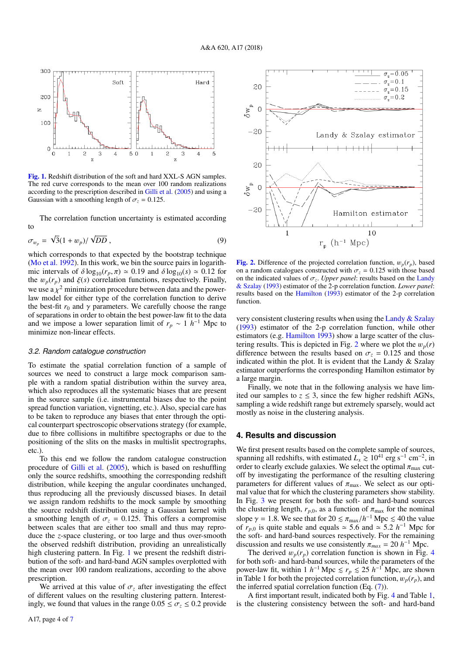

<span id="page-3-1"></span>[Fig. 1.](http://dexter.edpsciences.org/applet.php?DOI=10.1051/0004-6361/201832970&pdf_id=0) Redshift distribution of the soft and hard XXL-S AGN samples. The red curve corresponds to the mean over 100 random realizations according to the prescription described in [Gilli et al.](#page-6-15) [\(2005\)](#page-6-15) and using a Gaussian with a smoothing length of  $\sigma_z = 0.125$ .

The correlation function uncertainty is estimated according to

$$
\sigma_{w_p} = \sqrt{3}(1 + w_p)/\sqrt{DD}, \qquad (9)
$$

which corresponds to that expected by the bootstrap technique [\(Mo et al.](#page-6-56) [1992\)](#page-6-56). In this work, we bin the source pairs in logarithmic intervals of  $\delta \log_{10}(r_p, \pi) \simeq 0.19$  and  $\delta \log_{10}(s) \simeq 0.12$  for the  $w_p(r_p)$  and  $\xi(s)$  correlation functions, respectively. Finally, we use a  $\chi^2$  minimization procedure between data and the power-<br>law model for either type of the correlation function to derive law model for either type of the correlation function to derive the best-fit  $r_0$  and  $\gamma$  parameters. We carefully choose the range of separations in order to obtain the best power-law fit to the data and we impose a lower separation limit of  $r_p \sim 1 h^{-1}$  Mpc to minimize non-linear effects.

#### *3.2. Random catalogue construction*

To estimate the spatial correlation function of a sample of sources we need to construct a large mock comparison sample with a random spatial distribution within the survey area, which also reproduces all the systematic biases that are present in the source sample (i.e. instrumental biases due to the point spread function variation, vignetting, etc.). Also, special care has to be taken to reproduce any biases that enter through the optical counterpart spectroscopic observations strategy (for example, due to fibre collisions in multifibre spectographs or due to the positioning of the slits on the masks in multislit spectrographs, etc.).

To this end we follow the random catalogue construction procedure of [Gilli et al.](#page-6-15) [\(2005\)](#page-6-15), which is based on reshuffling only the source redshifts, smoothing the corresponding redshift distribution, while keeping the angular coordinates unchanged, thus reproducing all the previously discussed biases. In detail we assign random redshifts to the mock sample by smoothing the source redshift distribution using a Gaussian kernel with a smoothing length of  $\sigma_z = 0.125$ . This offers a compromise between scales that are either too small and thus may reproduce the *z*-space clustering, or too large and thus over-smooth the observed redshift distribution, providing an unrealistically high clustering pattern. In Fig. [1](#page-3-1) we present the redshift distribution of the soft- and hard-band AGN samples overplotted with the mean over 100 random realizations, according to the above prescription.

We arrived at this value of  $\sigma_z$  after investigating the effect of different values on the resulting clustering pattern. Interestingly, we found that values in the range  $0.05 \leq \sigma_z \leq 0.2$  provide



<span id="page-3-2"></span>[Fig. 2.](http://dexter.edpsciences.org/applet.php?DOI=10.1051/0004-6361/201832970&pdf_id=0) Difference of the projected correlation function,  $w_p(r_p)$ , based on a random catalogues constructed with  $\sigma$ <sub>z</sub> = 0.125 with those based on the indicated values of  $\sigma_z$ . *Upper panel*: results based on the [Landy](#page-6-54)  $\&$  Szalav (1993) estimator of the 2-p correlation function *Lower panel*: [& Szalay](#page-6-54) [\(1993\)](#page-6-54) estimator of the 2-p correlation function. *Lower panel*: results based on the [Hamilton](#page-6-57) [\(1993\)](#page-6-57) estimator of the 2-p correlation function.

very consistent clustering results when using the [Landy & Szalay](#page-6-54) [\(1993\)](#page-6-54) estimator of the 2-p correlation function, while other estimators (e.g. [Hamilton](#page-6-57) [1993\)](#page-6-57) show a large scatter of the clus-tering results. This is depicted in Fig. [2](#page-3-2) where we plot the  $w_p(r)$ difference between the results based on  $\sigma_z = 0.125$  and those indicated within the plot. It is evident that the Landy & Szalay estimator outperforms the corresponding Hamilton estimator by a large margin.

Finally, we note that in the following analysis we have limited our samples to  $z \leq 3$ , since the few higher redshift AGNs, sampling a wide redshift range but extremely sparsely, would act mostly as noise in the clustering analysis.

## <span id="page-3-0"></span>**4. Results and discussion**

We first present results based on the complete sample of sources, spanning all redshifts, with estimated  $L_x \ge 10^{41}$  erg s<sup>-1</sup> cm<sup>-2</sup>, in order to clearly exclude galaxies. We select the optimal  $\pi_{\text{max}}$  cutoff by investigating the performance of the resulting clustering parameters for different values of  $\pi_{\text{max}}$ . We select as our optimal value that for which the clustering parameters show stability. In Fig. [3](#page-4-0) we present for both the soft- and hard-band sources the clustering length,  $r_{p,0}$ , as a function of  $\pi_{\text{max}}$  for the nominal slope  $\gamma = 1.8$ . We see that for  $20 \le \pi_{\text{max}}/h^{-1}$  Mpc  $\le 40$  the value of  $r_{\text{eq}}$  is quite stable and equals  $\approx 5.6$  and  $\approx 5.2$   $h^{-1}$  Mpc for of  $r_{p,0}$  is quite stable and equals  $\approx$  5.6 and  $\approx$  5.2 *h*<sup>-1</sup> Mpc for the soft- and hard-band sources respectively. For the remaining the soft- and hard-band sources respectively. For the remaining discussion and results we use consistently  $\pi_{max} = 20 h^{-1}$  Mpc.<br>The derived  $w_n(r_n)$  correlation function is shown in Fig.

The derived  $w_p(r_p)$  correlation function is shown in Fig. [4](#page-4-1) for both soft- and hard-band sources, while the parameters of the power-law fit, within 1 *h*<sup>-1</sup> Mpc  $\le r_p \le 25$  *h*<sup>-1</sup> Mpc, are shown in Table 1 for both the projected correlation function,  $w_p(r_p)$ , and the inferred spatial correlation function (Eq. [\(7\)](#page-2-3)).

A first important result, indicated both by Fig. [4](#page-4-1) and Table [1,](#page-4-2) is the clustering consistency between the soft- and hard-band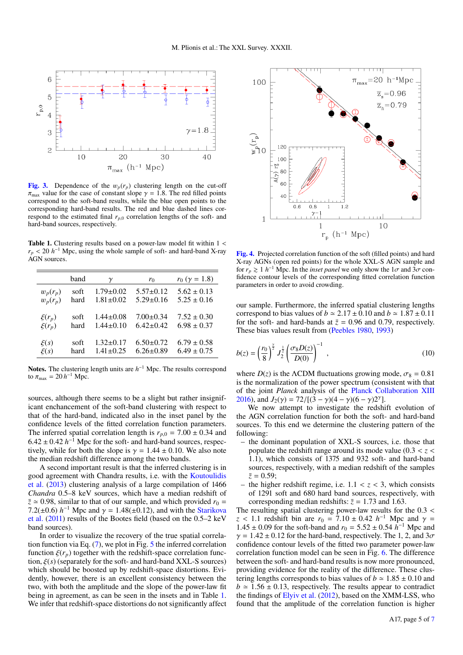

<span id="page-4-0"></span>[Fig. 3.](http://dexter.edpsciences.org/applet.php?DOI=10.1051/0004-6361/201832970&pdf_id=0) Dependence of the  $w_p(r_p)$  clustering length on the cut-off  $\pi_{\text{max}}$  value for the case of constant slope  $\gamma = 1.8$ . The red filled points correspond to the soft-band results, while the blue open points to the corresponding hard-band results. The red and blue dashed lines correspond to the estimated final *<sup>r</sup><sup>p</sup>*,<sup>0</sup> correlation lengths of the soft- and hard-band sources, respectively.

<span id="page-4-2"></span>Table 1. Clustering results based on a power-law model fit within  $1 <$  $r_p < 20 h^{-1}$  Mpc, using the whole sample of soft- and hard-band X-ray AGN sources AGN sources.

|            | band | $\gamma$        | $r_0$           | $r_0$ ( $\gamma = 1.8$ ) |
|------------|------|-----------------|-----------------|--------------------------|
| $w_p(r_p)$ | soft | $1.79 \pm 0.02$ | $5.57 \pm 0.12$ | $5.62 \pm 0.13$          |
| $w_p(r_p)$ | hard | $1.81 \pm 0.02$ | $5.29 \pm 0.16$ | $5.25 \pm 0.16$          |
| $\xi(r_p)$ | soft | $1.44 \pm 0.08$ | $7.00 \pm 0.34$ | $7.52 \pm 0.30$          |
| $\xi(r_p)$ | hard | $1.44 \pm 0.10$ | $6.42 \pm 0.42$ | $6.98 \pm 0.37$          |
| $\xi(s)$   | soft | $1.32 \pm 0.17$ | $6.50 \pm 0.72$ | $6.79 \pm 0.58$          |
| $\xi(s)$   | hard | $1.41 \pm 0.25$ | $6.26 \pm 0.89$ | $6.49 \pm 0.75$          |

Notes. The clustering length units are *h*<sup>-1</sup> Mpc. The results correspond to  $\pi_{\text{max}} = 20 h^{-1} \text{ Mpc.}$ 

sources, although there seems to be a slight but rather insignificant enchancement of the soft-band clustering with respect to that of the hard-band, indicated also in the inset panel by the confidence levels of the fitted correlation function parameters. The inferred spatial correlation length is  $r_{p,0} = 7.00 \pm 0.34$  and  $6.42 \pm 0.42$  *h*<sup>-1</sup> Mpc for the soft- and hard-band sources, respectively while for both the slope is  $\gamma = 1.44 \pm 0.10$  We also note tively, while for both the slope is  $\gamma = 1.44 \pm 0.10$ . We also note the median redshift difference among the two bands.

A second important result is that the inferred clustering is in good agreement with Chandra results, i.e. with the [Koutoulidis](#page-6-26) [et al.](#page-6-26) [\(2013\)](#page-6-26) clustering analysis of a large compilation of 1466 *Chandra* 0.5–8 keV sources, which have a median redshift of  $\bar{z} \approx 0.98$ , similar to that of our sample, and which provided  $r_0 =$  $7.2(\pm 0.6) h^{-1}$  Mpc and  $\gamma = 1.48(\pm 0.12)$ , and with the [Starikova](#page-6-23)<br>et al. (2011) results of the Bootes field (based on the 0.5–2 keV [et al.](#page-6-23) [\(2011\)](#page-6-23) results of the Bootes field (based on the 0.5–2 keV band sources).

In order to visualize the recovery of the true spatial correlation function via Eq. [\(7\)](#page-2-3), we plot in Fig. [5](#page-5-0) the inferred correlation function  $\xi(r_p)$  together with the redshift-space correlation function, ξ(*s*) (separately for the soft- and hard-band XXL-S sources) which should be boosted up by redshift-space distortions. Evidently, however, there is an excellent consistency between the two, with both the amplitude and the slope of the power-law fit being in agreement, as can be seen in the insets and in Table [1.](#page-4-2) We infer that redshift-space distortions do not significantly affect



<span id="page-4-1"></span>[Fig. 4.](http://dexter.edpsciences.org/applet.php?DOI=10.1051/0004-6361/201832970&pdf_id=0) Projected correlation function of the soft (filled points) and hard X-ray AGNs (open red points) for the whole XXL-S AGN sample and for  $r_p \geq 1$  *h*<sup>-1</sup> Mpc. In the *inset panel* we only show the  $1\sigma$  and  $3\sigma$  confidence contour levels of the corresponding fitted correlation function fidence contour levels of the corresponding fitted correlation function parameters in order to avoid crowding.

our sample. Furthermore, the inferred spatial clustering lengths correspond to bias values of  $b \approx 2.17 \pm 0.10$  and  $b \approx 1.87 \pm 0.11$ for the soft- and hard-bands at  $\bar{z} = 0.96$  and 0.79, respectively. These bias values result from [\(Peebles](#page-6-52) [1980,](#page-6-52) [1993\)](#page-6-58)

$$
b(z) = \left(\frac{r_0}{8}\right)^{\frac{z}{2}} J_2^{\frac{1}{2}} \left(\frac{\sigma_8 D(z)}{D(0)}\right)^{-1} , \qquad (10)
$$

where  $D(z)$  is the  $\Lambda$ CDM fluctuations growing mode,  $\sigma_8 = 0.81$ is the normalization of the power spectrum (consistent with that of the joint *Planck* analysis of the [Planck Collaboration XIII](#page-6-59) [2016\)](#page-6-59), and  $J_2(\gamma) = 72/[(3 - \gamma)(4 - \gamma)(6 - \gamma)2^{\gamma}]$ .<br>We now attempt to investigate the redshi

We now attempt to investigate the redshift evolution of the AGN correlation function for both the soft- and hard-band sources. To this end we determine the clustering pattern of the following:

- the dominant population of XXL-S sources, i.e. those that populate the redshift range around its mode value (0.<sup>3</sup> < *<sup>z</sup>* < <sup>1</sup>.1), which consists of 1375 and 932 soft- and hard-band sources, respectively, with a median redshift of the samples  $\bar{z}=0.59$ ;
- the higher redshift regime, i.e.  $1.1 < z < 3$ , which consists of 1291 soft and 680 hard band sources, respectively, with corresponding median redshifts:  $\bar{z} = 1.73$  and 1.63.

The resulting spatial clustering power-law results for the <sup>0</sup>.<sup>3</sup> < *z* < 1.1 redshift bin are  $r_0 = 7.10 \pm 0.42$  *h*<sup>-1</sup> Mpc and  $\gamma = 1.45 \pm 0.09$  for the soft-band and  $r_0 = 5.52 \pm 0.54$  *h*<sup>-1</sup> Mpc and  $1.45 \pm 0.09$  for the soft-band and  $r_0 = 5.52 \pm 0.54 \hat{h}^{-1}$  Mpc and  $\gamma = 1.42 \pm 0.12$  for the bard-band respectively. The 1.2 and 3*a*  $\gamma = 1.42 \pm 0.12$  for the hard-band, respectively. The 1, 2, and  $3\sigma$ confidence contour levels of the fitted two parameter power-law correlation function model can be seen in Fig. [6.](#page-5-1) The difference between the soft- and hard-band results is now more pronounced, providing evidence for the reality of the difference. These clustering lengths corresponds to bias values of  $b \approx 1.85 \pm 0.10$  and  $b \approx 1.56 \pm 0.13$ , respectively. The results appear to contradict the findings of [Elyiv et al.](#page-6-60) [\(2012\)](#page-6-60), based on the XMM-LSS, who found that the amplitude of the correlation function is higher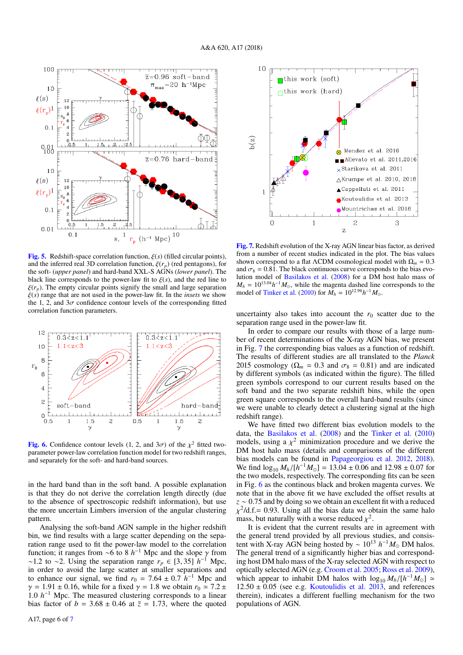

<span id="page-5-0"></span>[Fig. 5.](http://dexter.edpsciences.org/applet.php?DOI=10.1051/0004-6361/201832970&pdf_id=0) Redshift-space correlation function,  $\xi(s)$  (filled circular points), and the inferred real 3D correlation function,  $\xi(r_p)$  (red pentagons), for the soft- (*upper panel*) and hard-band XXL-S AGNs (*lower panel*). The black line corresponds to the power-law fit to  $\xi(s)$ , and the red line to  $\xi(r_p)$ . The empty circular points signify the small and large separation ξ(*s*) range that are not used in the power-law fit. In the *insets* we show the 1, 2, and  $3\sigma$  confidence contour levels of the corresponding fitted correlation function parameters.



<span id="page-5-1"></span>**[Fig. 6.](http://dexter.edpsciences.org/applet.php?DOI=10.1051/0004-6361/201832970&pdf_id=0)** Confidence contour levels  $(1, 2, \text{ and } 3\sigma)$  of the  $\chi^2$  fitted two-<br>parameter power-law correlation function model for two redshift ranges parameter power-law correlation function model for two redshift ranges, and separately for the soft- and hard-band sources.

in the hard band than in the soft band. A possible explanation is that they do not derive the correlation length directly (due to the absence of spectroscopic redshift information), but use the more uncertain Limbers inversion of the angular clustering pattern.

Analysing the soft-band AGN sample in the higher redshift bin, we find results with a large scatter depending on the separation range used to fit the power-law model to the correlation function; it ranges from ∼6 to 8  $h^{-1}$  Mpc and the slope  $\gamma$  from ~1.2 to ~2. Using the separation range  $r_+ \in [3, 35]$   $h^{-1}$  Mpc <sup>∼</sup>1.2 to <sup>∼</sup>2. Using the separation range *<sup>r</sup><sup>p</sup>* <sup>∈</sup> [3, 35] *<sup>h</sup>* <sup>−</sup><sup>1</sup> Mpc, in order to avoid the large scatter at smaller separations and to enhance our signal, we find  $r_0 = 7.64 \pm 0.7 \hat{h}^{-1}$  Mpc and  $\gamma = 1.91 \pm 0.16$  while for a fixed  $\gamma = 1.8$  we obtain  $r_0 \approx 7.2 \pm 1.2$  $\gamma = 1.91 \pm 0.16$ , while for a fixed  $\gamma = 1.8$  we obtain  $r_0 \approx 7.2 \pm 1.8$ 1.0 *h*<sup>-1</sup> Mpc. The measured clustering corresponds to a linear hias factor of *h* = 3.68 + 0.46 at  $\overline{z}$  = 1.73, where the quoted bias factor of  $b = 3.68 \pm 0.46$  at  $\overline{z} = 1.73$ , where the quoted



<span id="page-5-2"></span>[Fig. 7.](http://dexter.edpsciences.org/applet.php?DOI=10.1051/0004-6361/201832970&pdf_id=0) Redshift evolution of the X-ray AGN linear bias factor, as derived from a number of recent studies indicated in the plot. The bias values shown correspond to a flat  $\Lambda$ CDM cosmological model with  $\Omega_m = 0.3$ and  $\sigma_8 = 0.81$ . The black continuous curve corresponds to the bias evolution model of [Basilakos et al.](#page-6-61) [\(2008\)](#page-6-61) for a DM host halo mass of  $M_h = 10^{13.04} h^{-1} M_{\odot}$ , while the magenta dashed line corresponds to the model of [Tinker et al.](#page-6-62) [\(2010\)](#page-6-62) for  $M_h = 10^{12.96} h^{-1} M_{\odot}$ .

uncertainty also takes into account the  $r_0$  scatter due to the separation range used in the power-law fit.

In order to compare our results with those of a large number of recent determinations of the X-ray AGN bias, we present in Fig. [7](#page-5-2) the corresponding bias values as a function of redshift. The results of different studies are all translated to the *Planck* 2015 cosmology ( $\Omega_m = 0.3$  and  $\sigma_8 = 0.81$ ) and are indicated by different symbols (as indicated within the figure). The filled green symbols correspond to our current results based on the soft band and the two separate redshift bins, while the open green square corresponds to the overall hard-band results (since we were unable to clearly detect a clustering signal at the high redshift range).

We have fitted two different bias evolution models to the data, the [Basilakos et al.](#page-6-61) [\(2008\)](#page-6-61) and the [Tinker et al.](#page-6-62) [\(2010\)](#page-6-62) models, using a  $\chi^2$  minimization procedure and we derive the DM host halo mass (details and comparisons of the different DM host halo mass (details and comparisons of the different bias models can be found in [Papageorgiou et al.](#page-6-63) [2012,](#page-6-63) [2018\)](#page-6-64). We find  $\log_{10} M_h / [h^{-1} M_{\odot}] = 13.04 \pm 0.06$  and  $12.98 \pm 0.07$  for the two models respectively. The corresponding fits can be seen the two models, respectively. The corresponding fits can be seen in Fig. [6](#page-5-1) as the continous black and broken magenta curves. We note that in the above fit we have excluded the offset results at *<sup>z</sup>* <sup>∼</sup> <sup>0</sup>.<sup>75</sup> and by doing so we obtain an excellent fit with a reduced mass, but naturally with a worse reduced  $\chi^2$ .<br>It is evident that the current results are <sup>2</sup>/d.f.= 0.93. Using all the bias data we obtain the same halo<br>pass but naturally with a worse reduced  $v^2$ 

It is evident that the current results are in agreement with the general trend provided by all previous studies, and consistent with X-ray AGN being hosted by ~  $10^{13}$   $h^{-1}M_{\odot}$  DM halos. The general trend of a significantly higher bias and corresponding host DM halo mass of the X-ray selected AGN with respect to optically selected AGN (e.g. [Croom et al.](#page-6-65) [2005;](#page-6-65) [Ross et al.](#page-6-66) [2009\)](#page-6-66), which appear to inhabit DM halos with  $\log_{10} M_h / [h^{-1} M_{\odot}] \simeq 12.50 + 0.05$  (see e.g. Koutoulidis et al. 2013, and references  $12.50 \pm 0.05$  (see e.g. [Koutoulidis et al.](#page-6-26) [2013,](#page-6-26) and references therein), indicates a different fuelling mechanism for the two populations of AGN.